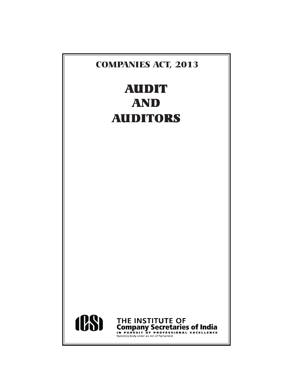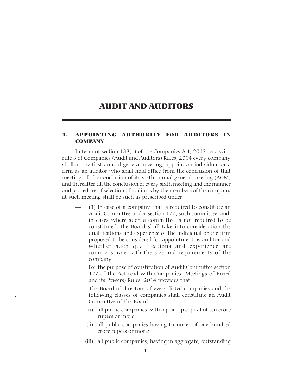# AUDIT AND AUDITORS

#### 1. APPOINTING AUTHORITY FOR AUDITORS IN **COMPANY**

In term of section 139(1) of the Companies Act, 2013 read with rule 3 of Companies (Audit and Auditors) Rules, 2014 every company shall at the first annual general meeting, appoint an individual or a firm as an auditor who shall hold office from the conclusion of that meeting till the conclusion of its sixth annual general meeting (AGM) and thereafter till the conclusion of every sixth meeting and the manner and procedure of selection of auditors by the members of the company at such meeting shall be such as prescribed under:

 $(1)$  In case of a company that is required to constitute an Audit Committee under section 177, such committee, and, in cases where such a committee is not required to be constituted, the Board shall take into consideration the qualifications and experience of the individual or the firm proposed to be considered for appointment as auditor and whether such qualifications and experience are commensurate with the size and requirements of the company.

For the purpose of constitution of Audit Committee section 177 of the Act read with Companies (Meetings of Board and its Powers) Rules, 2014 provides that:

The Board of directors of every listed companies and the following classes of companies shall constitute an Audit Committee of the Board-

- (i) all public companies with a paid up capital of ten crore rupees or more;
- (ii) all public companies having turnover of one hundred crore rupees or more;
- (iii) all public companies, having in aggregate, outstanding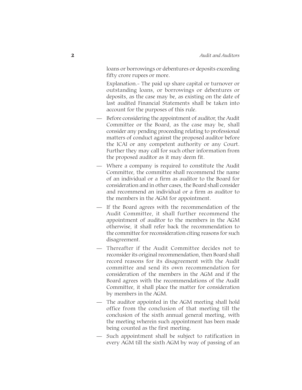loans or borrowings or debentures or deposits exceeding fifty crore rupees or more.

Explanation.- The paid up share capital or turnover or outstanding loans, or borrowings or debentures or deposits, as the case may be, as existing on the date of last audited Financial Statements shall be taken into account for the purposes of this rule.

- Before considering the appointment of auditor, the Audit Committee or the Board, as the case may be, shall consider any pending proceeding relating to professional matters of conduct against the proposed auditor before the ICAI or any competent authority or any Court. Further they may call for such other information from the proposed auditor as it may deem fit.
- Where a company is required to constitute the Audit Committee, the committee shall recommend the name of an individual or a firm as auditor to the Board for consideration and in other cases, the Board shall consider and recommend an individual or a firm as auditor to the members in the AGM for appointment.
- If the Board agrees with the recommendation of the Audit Committee, it shall further recommend the appointment of auditor to the members in the AGM otherwise, it shall refer back the recommendation to the committee for reconsideration citing reasons for such disagreement.
- Thereafter if the Audit Committee decides not to reconsider its original recommendation, then Board shall record reasons for its disagreement with the Audit committee and send its own recommendation for consideration of the members in the AGM and if the Board agrees with the recommendations of the Audit Committee, it shall place the matter for consideration by members in the AGM.
- The auditor appointed in the AGM meeting shall hold office from the conclusion of that meeting till the conclusion of the sixth annual general meeting, with the meeting wherein such appointment has been made being counted as the first meeting.
- Such appointment shall be subject to ratification in every AGM till the sixth AGM by way of passing of an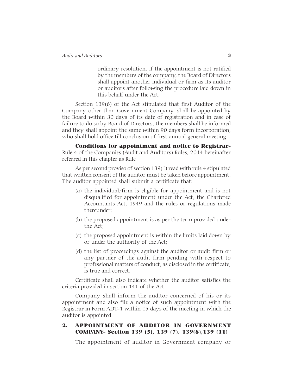ordinary resolution. If the appointment is not ratified by the members of the company, the Board of Directors shall appoint another individual or firm as its auditor or auditors after following the procedure laid down in this behalf under the Act.

Section 139(6) of the Act stipulated that first Auditor of the Company other than Government Company, shall be appointed by the Board within 30 days of its date of registration and in case of failure to do so by Board of Directors, the members shall be informed and they shall appoint the same within 90 days form incorporation, who shall hold office till conclusion of first annual general meeting.

Conditions for appointment and notice to Registrar-Rule 4 of the Companies (Audit and Auditors) Rules, 2014 hereinafter referred in this chapter as Rule

As per second proviso of section 139(1) read with rule 4 stipulated that written consent of the auditor must be taken before appointment. The auditor appointed shall submit a certificate that:

- (a) the individual/firm is eligible for appointment and is not disqualified for appointment under the Act, the Chartered Accountants Act, 1949 and the rules or regulations made thereunder;
- (b) the proposed appointment is as per the term provided under the Act;
- (c) the proposed appointment is within the limits laid down by or under the authority of the Act;
- (d) the list of proceedings against the auditor or audit firm or any partner of the audit firm pending with respect to professional matters of conduct, as disclosed in the certificate, is true and correct.

Certificate shall also indicate whether the auditor satisfies the criteria provided in section 141 of the Act.

Company shall inform the auditor concerned of his or its appointment and also file a notice of such appointment with the Registrar in Form ADT-1 within 15 days of the meeting in which the auditor is appointed.

### 2. APPOINTMENT OF AUDITOR IN GOVERNMENT COMPANY- Section 139 (5), 139 (7), 139(8),139 (11)

The appointment of auditor in Government company or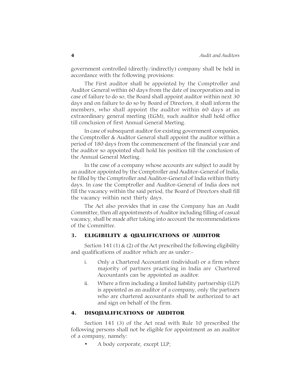government controlled (directly/indirectly) company shall be held in accordance with the following provisions:

The First auditor shall be appointed by the Comptroller and Auditor General within 60 days from the date of incorporation and in case of failure to do so, the Board shall appoint auditor within next 30 days and on failure to do so by Board of Directors, it shall inform the members, who shall appoint the auditor within 60 days at an extraordinary general meeting (EGM), such auditor shall hold office till conclusion of first Annual General Meeting.

In case of subsequent auditor for existing government companies, the Comptroller & Auditor General shall appoint the auditor within a period of 180 days from the commencement of the financial year and the auditor so appointed shall hold his position till the conclusion of the Annual General Meeting.

In the case of a company whose accounts are subject to audit by an auditor appointed by the Comptroller and Auditor-General of India, be filled by the Comptroller and Auditor-General of India within thirty days. In case the Comptroller and Auditor-General of India does not fill the vacancy within the said period, the Board of Directors shall fill the vacancy within next thirty days.

The Act also provides that in case the Company has an Audit Committee, then all appointments of Auditor including filling of casual vacancy, shall be made after taking into account the recommendations of the Committee.

### 3. ELIGIBILITY & QUALIFICATIONS OF AUDITOR

Section 141 (1)  $\&$  (2) of the Act prescribed the following eligibility and qualifications of auditor which are as under:-

- i. Only a Chartered Accountant (individual) or a firm where majority of partners practicing in India are Chartered Accountants can be appointed as auditor.
- ii. Where a firm including a limited liability partnership (LLP) is appointed as an auditor of a company, only the partners who are chartered accountants shall be authorized to act and sign on behalf of the firm.

#### 4. DISQUALIFICATIONS OF AUDITOR

Section 141 (3) of the Act read with Rule 10 prescribed the following persons shall not be eligible for appointment as an auditor of a company, namely:

• A body corporate, except LLP;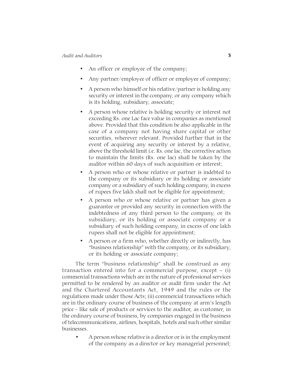#### *Audit and Auditors* 5

- An officer or employee of the company;
- Any partner/employee of officer or employee of company;
- A person who himself or his relative/partner is holding any security or interest in the company, or any company which is its holding, subsidiary, associate;
- A person whose relative is holding security or interest not exceeding Rs. one Lac face value in companies as mentioned above. Provided that this condition be also applicable in the case of a company not having share capital or other securities, wherever relevant. Provided further that in the event of acquiring any security or interest by a relative, above the threshold limit i.e. Rs. one lac, the corrective action to maintain the limits (Rs. one lac) shall be taken by the auditor within 60 days of such acquisition or interest;
- A person who or whose relative or partner is indebted to the company or its subsidiary or its holding or associate company or a subsidiary of such holding company, in excess of rupees five lakh shall not be eligible for appointment;
- A person who or whose relative or partner has given a guarantee or provided any security in connection with the indebtedness of any third person to the company, or its subsidiary, or its holding or associate company or a subsidiary of such holding company, in excess of one lakh rupees shall not be eligible for appointment;
- A person or a firm who, whether directly or indirectly, has "business relationship" with the company, or its subsidiary, or its holding or associate company;

The term "business relationship" shall be construed as any transaction entered into for a commercial purpose, except – (i) commercial transactions which are in the nature of professional services permitted to be rendered by an auditor or audit firm under the Act and the Chartered Accountants Act, 1949 and the rules or the regulations made under those Acts; (ii) commercial transactions which are in the ordinary course of business of the company at arm's length price - like sale of products or services to the auditor, as customer, in the ordinary course of business, by companies engaged in the business of telecommunications, airlines, hospitals, hotels and such other similar businesses.

• A person whose relative is a director or is in the employment of the company as a director or key managerial personnel;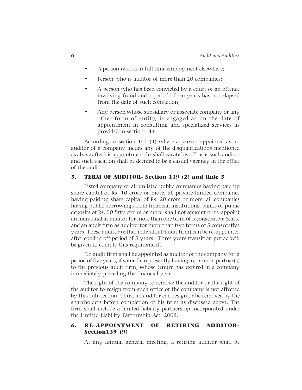- A person who is in full time employment elsewhere;
- Person who is auditor of more than 20 companies;
- A person who has been convicted by a court of an offence involving fraud and a period of ten years has not elapsed from the date of such conviction;
- Any person whose subsidiary or associate company or any other form of entity, is engaged as on the date of appointment in consulting and specialized services as provided in section 144.

According to section 141 (4) where a person appointed as an auditor of a company incurs any of the disqualifications mentioned as above after his appointment, he shall vacate his office as such auditor and such vacation shall be deemed to be a casual vacancy in the office of the auditor.

### 5. TERM OF AUDITOR- Section 139 (2) and Rule 5

Listed company or all unlisted public companies having paid up share capital of Rs. 10 crore or more, all private limited companies having paid up share capital of Rs. 20 crore or more, all companies having public borrowings from financial institutions, banks or public deposits of Rs. 50 fifty crores or more shall not appoint or re-appoint an individual as auditor for more than one term of 5 consecutive Years; and an audit firm as auditor for more than two terms of 5 consecutive years. These auditor (either individual/audit firm) can be re-appointed after cooling off period of 5 years. Three years transition period will be given to comply this requirement.

No audit firm shall be appointed as auditor of the company for a period of five years, if same firm presently having a common partner(s) to the previous audit firm, whose tenure has expired in a company immediately preceding the financial year.

The right of the company to remove the auditor or the right of the auditor to resign from such office of the company is not affected by this sub-section. Thus, an auditor can resign or be removed by the shareholders before completion of his term as discussed above. The firm shall include a limited liability partnership incorporated under the Limited Liability Partnership Act, 2008.

# 6. RE-APPOINTMENT OF RETIRING AUDITOR-Section139 (9)

At any annual general meeting, a retiring auditor shall be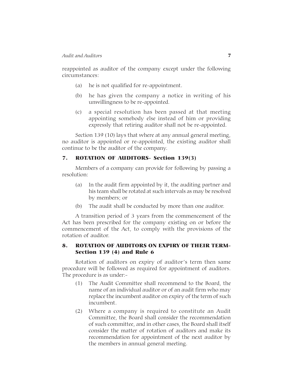reappointed as auditor of the company except under the following circumstances:

- (a) he is not qualified for re-appointment.
- (b) he has given the company a notice in writing of his unwillingness to be re-appointed.
- (c) a special resolution has been passed at that meeting appointing somebody else instead of him or providing expressly that retiring auditor shall not be re-appointed.

Section 139 (10) lays that where at any annual general meeting, no auditor is appointed or re-appointed, the existing auditor shall continue to be the auditor of the company.

### 7. ROTATION OF AUDITORS- Section 139(3)

Members of a company can provide for following by passing a resolution:

- (a) In the audit firm appointed by it, the auditing partner and his team shall be rotated at such intervals as may be resolved by members; or
- (b) The audit shall be conducted by more than one auditor.

A transition period of 3 years from the commencement of the Act has been prescribed for the company existing on or before the commencement of the Act, to comply with the provisions of the rotation of auditor.

### 8. ROTATION OF AUDITORS ON EXPIRY OF THEIR TERM-Section 139 (4) and Rule 6

Rotation of auditors on expiry of auditor's term then same procedure will be followed as required for appointment of auditors. The procedure is as under:-

- (1) The Audit Committee shall recommend to the Board, the name of an individual auditor or of an audit firm who may replace the incumbent auditor on expiry of the term of such incumbent.
- (2) Where a company is required to constitute an Audit Committee, the Board shall consider the recommendation of such committee, and in other cases, the Board shall itself consider the matter of rotation of auditors and make its recommendation for appointment of the next auditor by the members in annual general meeting.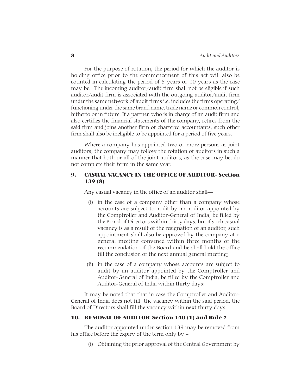For the purpose of rotation, the period for which the auditor is holding office prior to the commencement of this act will also be counted in calculating the period of 5 years or 10 years as the case may be. The incoming auditor/audit firm shall not be eligible if such auditor/audit firm is associated with the outgoing auditor/audit firm under the same network of audit firms i.e. includes the firms operating/ functioning under the same brand name, trade name or common control, hitherto or in future. If a partner, who is in charge of an audit firm and also certifies the financial statements of the company, retires from the said firm and joins another firm of chartered accountants, such other firm shall also be ineligible to be appointed for a period of five years.

Where a company has appointed two or more persons as joint auditors, the company may follow the rotation of auditors in such a manner that both or all of the joint auditors, as the case may be, do not complete their term in the same year.

# 9. CASUAL VACANCY IN THE OFFICE OF AUDITOR- Section 139 (8)

Any casual vacancy in the office of an auditor shall—

- (i) in the case of a company other than a company whose accounts are subject to audit by an auditor appointed by the Comptroller and Auditor-General of India, be filled by the Board of Directors within thirty days, but if such casual vacancy is as a result of the resignation of an auditor, such appointment shall also be approved by the company at a general meeting convened within three months of the recommendation of the Board and he shall hold the office till the conclusion of the next annual general meeting;
- (ii) in the case of a company whose accounts are subject to audit by an auditor appointed by the Comptroller and Auditor-General of India, be filled by the Comptroller and Auditor-General of India within thirty days:

It may be noted that that in case the Comptroller and Auditor-General of India does not fill the vacancy within the said period, the Board of Directors shall fill the vacancy within next thirty days.

### 10. REMOVAL OF AUDITOR-Section 140 (1) and Rule 7

The auditor appointed under section 139 may be removed from his office before the expiry of the term only by –

(i) Obtaining the prior approval of the Central Government by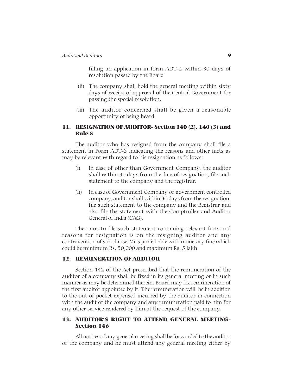filling an application in form ADT-2 within 30 days of resolution passed by the Board

- (ii) The company shall hold the general meeting within sixty days of receipt of approval of the Central Government for passing the special resolution.
- (iii) The auditor concerned shall be given a reasonable opportunity of being heard.

# 11. RESIGNATION OF AUDITOR- Section 140 (2), 140 (3) and Rule 8

The auditor who has resigned from the company shall file a statement in Form ADT-3 indicating the reasons and other facts as may be relevant with regard to his resignation as follows:

- (i) In case of other than Government Company, the auditor shall within 30 days from the date of resignation, file such statement to the company and the registrar.
- (ii) In case of Government Company or government controlled company, auditor shall within 30 days from the resignation, file such statement to the company and the Registrar and also file the statement with the Comptroller and Auditor General of India (CAG).

The onus to file such statement containing relevant facts and reasons for resignation is on the resigning auditor and any contravention of sub clause (2) is punishable with monetary fine which could be minimum Rs. 50,000 and maximum Rs. 5 lakh.

#### 12. REMUNERATION OF AUDITOR

Section 142 of the Act prescribed that the remuneration of the auditor of a company shall be fixed in its general meeting or in such manner as may be determined therein. Board may fix remuneration of the first auditor appointed by it. The remuneration will be in addition to the out of pocket expensed incurred by the auditor in connection with the audit of the company and any remuneration paid to him for any other service rendered by him at the request of the company.

### 13. AUDITOR'S RIGHT TO ATTEND GENERAL MEETING-Section 146

All notices of any general meeting shall be forwarded to the auditor of the company and he must attend any general meeting either by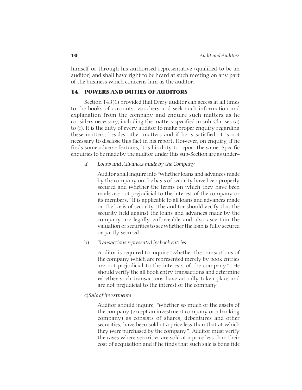himself or through his authorised representative (qualified to be an auditor) and shall have right to be heard at such meeting on any part of the business which concerns him as the auditor.

# 14. POWERS AND DUTIES OF AUDITORS

Section 143(1) provided that Every auditor can access at all times to the books of accounts, vouchers and seek such information and explanation from the company and enquire such matters as he considers necessary, including the matters specified in sub-Clauses (a) to (f). It is the duty of every auditor to make proper enquiry regarding these matters, besides other matters and if he is satisfied, it is not necessary to disclose this fact in his report. However, on enquiry, if he finds some adverse features, it is his duty to report the same. Specific enquiries to be made by the auditor under this sub-Section are as under–

#### a) *Loans and Advances made by the Company*

Auditor shall inquire into "whether loans and advances made by the company on the basis of security have been properly secured and whether the terms on which they have been made are not prejudicial to the interest of the company or its members." It is applicable to all loans and advances made on the basis of security. The auditor should verify that the security held against the loans and advances made by the company are legally enforceable and also ascertain the valuation of securities to see whether the loan is fully secured or partly secured.

#### b) *Transactions represented by book entries*

Auditor is required to inquire "whether the transactions of the company which are represented merely by book entries are not prejudicial to the interests of the company". He should verify the all book entry transactions and determine whether such transactions have actually taken place and are not prejudicial to the interest of the company.

#### c)*Sale of investments*

Auditor should inquire, "whether so much of the assets of the company (except an investment company or a banking company) as consists of shares, debentures and other securities, have been sold at a price less than that at which they were purchased by the company". Auditor must verify the cases where securities are sold at a price less than their cost of acquisition and if he finds that such sale is bona fide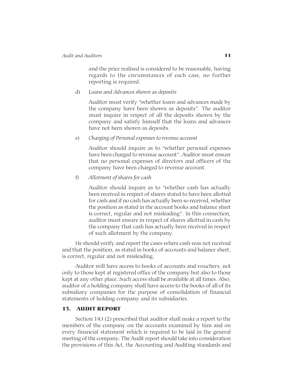and the price realised is considered to be reasonable, having regards to the circumstances of each case, no further reporting is required.

d) *Loans and Advances shown as deposits*

Auditor must verify "whether loans and advances made by the company have been shown as deposits". The auditor must inquire in respect of all the deposits shown by the company and satisfy himself that the loans and advances have not been shown as deposits.

e) *Charging of Personal expenses to revenue account*

Auditor should inquire as to "whether personal expenses have been charged to revenue account". Auditor must ensure that no personal expenses of directors and officers of the company have been charged to revenue account.

f) *Allotment of shares for cash*

Auditor should inquire as to "whether cash has actually been received in respect of shares stated to have been allotted for cash and if no cash has actually been so received, whether the position as stated in the account books and balance sheet is correct, regular and not misleading". In this connection, auditor must ensure in respect of shares allotted in cash by the company that cash has actually been received in respect of such allotment by the company.

He should verify and report the cases where cash was not received and that the position, as stated in books of accounts and balance sheet, is correct, regular and not misleading.

Auditor will have access to books of accounts and vouchers, not only to those kept at registered office of the company but also to those kept at any other place. Such access shall be available at all times. Also, auditor of a holding company shall have access to the books of all of its subsidiary companies for the purpose of consolidation of financial statements of holding company and its subsidiaries.

### 15. AUDIT REPORT

Section 143 (2) prescribed that auditor shall make a report to the members of the company on the accounts examined by him and on every financial statement which is required to be laid in the general meeting of the company. The Audit report should take into consideration the provisions of this Act, the Accounting and Auditing standards and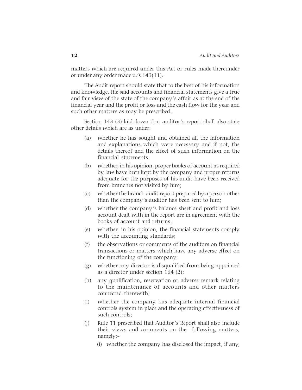matters which are required under this Act or rules made thereunder or under any order made u/s 143(11).

The Audit report should state that to the best of his information and knowledge, the said accounts and financial statements give a true and fair view of the state of the company's affair as at the end of the financial year and the profit or loss and the cash flow for the year and such other matters as may be prescribed.

Section 143 (3) laid down that auditor's report shall also state other details which are as under:

- (a) whether he has sought and obtained all the information and explanations which were necessary and if not, the details thereof and the effect of such information on the financial statements;
- (b) whether, in his opinion, proper books of account as required by law have been kept by the company and proper returns adequate for the purposes of his audit have been received from branches not visited by him;
- (c) whether the branch audit report prepared by a person other than the company's auditor has been sent to him;
- (d) whether the company's balance sheet and profit and loss account dealt with in the report are in agreement with the books of account and returns;
- (e) whether, in his opinion, the financial statements comply with the accounting standards;
- (f) the observations or comments of the auditors on financial transactions or matters which have any adverse effect on the functioning of the company;
- (g) whether any director is disqualified from being appointed as a director under section 164 (2);
- (h) any qualification, reservation or adverse remark relating to the maintenance of accounts and other matters connected therewith;
- (i) whether the company has adequate internal financial controls system in place and the operating effectiveness of such controls;
- (j) Rule 11 prescribed that Auditor's Report shall also include their views and comments on the following matters, namely:-
	- (i) whether the company has disclosed the impact, if any,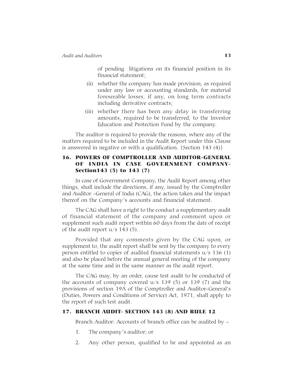of pending litigations on its financial position in its financial statement;

- (ii) whether the company has made provision, as required under any law or accounting standards, for material foreseeable losses, if any, on long term contracts including derivative contracts;
- (iii) whether there has been any delay in transferring amounts, required to be transferred, to the Investor Education and Protection Fund by the company.

The auditor is required to provide the reasons, where any of the matters required to be included in the Audit Report under this Clause is answered in negative or with a qualification. {Section 143 (4)}

# 16. POWERS OF COMPTROLLER AND AUDITOR–GENERAL OF INDIA IN CASE GOVERNMENT COMPANY-Section143 (5) to 143 (7)

In case of Government Company, the Audit Report among other things, shall include the directions, if any, issued by the Comptroller and Auditor –General of India (CAG), the action taken and the impact thereof on the Company's accounts and financial statement.

The CAG shall have a right to the conduct a supplementary audit of financial statement of the company and comment upon or supplement such audit report within 60 days from the date of receipt of the audit report  $u/s$  143 (5).

Provided that any comments given by the CAG upon, or supplement to, the audit report shall be sent by the company to every person entitled to copies of audited financial statements u/s 136 (1) and also be placed before the annual general meeting of the company at the same time and in the same manner as the audit report.

The CAG may, by an order, cause test audit to be conducted of the accounts of company covered u/s 139 (5) or 139 (7) and the provisions of section 19A of the Comptroller and Auditor-General's (Duties, Powers and Conditions of Service) Act, 1971, shall apply to the report of such test audit.

### 17. BRANCH AUDIT- SECTION 143 (8) AND RULE 12

Branch Auditor: Accounts of branch office can be audited by –

- 1. The company's auditor; or
- 2. Any other person, qualified to be and appointed as an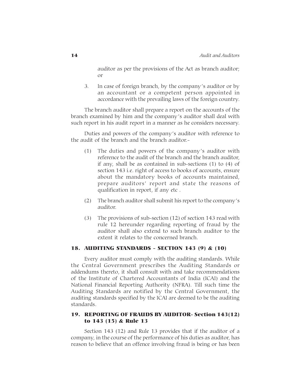auditor as per the provisions of the Act as branch auditor; or

3. In case of foreign branch, by the company's auditor or by an accountant or a competent person appointed in accordance with the prevailing laws of the foreign country.

The branch auditor shall prepare a report on the accounts of the branch examined by him and the company's auditor shall deal with such report in his audit report in a manner as he considers necessary.

Duties and powers of the company's auditor with reference to the audit of the branch and the branch auditor.-

- (1) The duties and powers of the company's auditor with reference to the audit of the branch and the branch auditor, if any, shall be as contained in sub-sections (1) to (4) of section 143 i.e. right of access to books of accounts, ensure about the mandatory books of accounts maintained, prepare auditors' report and state the reasons of qualification in report, if any etc .
- (2) The branch auditor shall submit his report to the company's auditor.
- (3) The provisions of sub-section (12) of section 143 read with rule 12 hereunder regarding reporting of fraud by the auditor shall also extend to such branch auditor to the extent it relates to the concerned branch.

#### 18. AUDITING STANDARDS - SECTION 143 (9) & (10)

Every auditor must comply with the auditing standards. While the Central Government prescribes the Auditing Standards or addendums thereto, it shall consult with and take recommendations of the Institute of Chartered Accountants of India (ICAI) and the National Financial Reporting Authority (NFRA). Till such time the Auditing Standards are notified by the Central Government, the auditing standards specified by the ICAI are deemed to be the auditing standards.

# 19. REPORTING OF FRAUDS BY AUDITOR- Section 143(12) to 143 (15) & Rule 13

Section 143 (12) and Rule 13 provides that if the auditor of a company, in the course of the performance of his duties as auditor, has reason to believe that an offence involving fraud is being or has been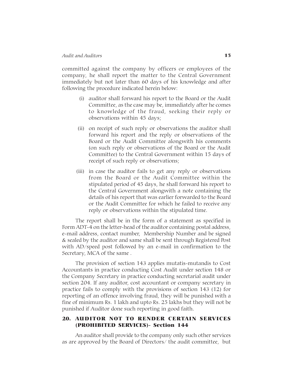#### *Audit and Auditors* 15

committed against the company by officers or employees of the company, he shall report the matter to the Central Government immediately but not later than 60 days of his knowledge and after following the procedure indicated herein below:

- (i) auditor shall forward his report to the Board or the Audit Committee, as the case may be, immediately after he comes to knowledge of the fraud, seeking their reply or observations within 45 days;
- (ii) on receipt of such reply or observations the auditor shall forward his report and the reply or observations of the Board or the Audit Committee alongwith his comments (on such reply or observations of the Board or the Audit Committee) to the Central Government within 15 days of receipt of such reply or observations;
- (iii) in case the auditor fails to get any reply or observations from the Board or the Audit Committee within the stipulated period of 45 days, he shall forward his report to the Central Government alongwith a note containing the details of his report that was earlier forwarded to the Board or the Audit Committee for which he failed to receive any reply or observations within the stipulated time.

The report shall be in the form of a statement as specified in Form ADT-4 on the letter-head of the auditor containing postal address, e-mail address, contact number, Membership Number and be signed & sealed by the auditor and same shall be sent through Registered Post with AD/speed post followed by an e-mail in confirmation to the Secretary, MCA of the same .

The provision of section 143 applies mutatis-mutandis to Cost Accountants in practice conducting Cost Audit under section 148 or the Company Secretary in practice conducting secretarial audit under section 204. If any auditor, cost accountant or company secretary in practice fails to comply with the provisions of section 143 (12) for reporting of an offence involving fraud, they will be punished with a fine of minimum Rs. 1 lakh and upto Rs. 25 lakhs but they will not be punished if Auditor done such reporting in good faith.

#### 20. AUDITOR NOT TO RENDER CERTAIN SERVICES (PROHIBITED SERVICES)- Section 144

An auditor shall provide to the company only such other services as are approved by the Board of Directors/ the audit committee, but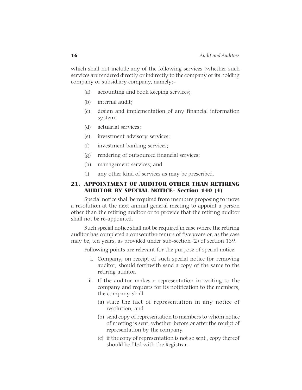which shall not include any of the following services (whether such services are rendered directly or indirectly to the company or its holding company or subsidiary company, namely:-

- (a) accounting and book keeping services;
- (b) internal audit;
- (c) design and implementation of any financial information system;
- (d) actuarial services;
- (e) investment advisory services;
- (f) investment banking services;
- (g) rendering of outsourced financial services;
- (h) management services; and
- (i) any other kind of services as may be prescribed.

### 21. APPOINTMENT OF AUDITOR OTHER THAN RETIRING AUDITOR BY SPECIAL NOTICE- Section 140 (4)

Special notice shall be required from members proposing to move a resolution at the next annual general meeting to appoint a person other than the retiring auditor or to provide that the retiring auditor shall not be re-appointed.

Such special notice shall not be required in case where the retiring auditor has completed a consecutive tenure of five years or, as the case may be, ten years, as provided under sub-section (2) of section 139.

Following points are relevant for the purpose of special notice:

- i. Company, on receipt of such special notice for removing auditor, should forthwith send a copy of the same to the retiring auditor.
- ii. If the auditor makes a representation in writing to the company and requests for its notification to the members, the company shall
	- (a) state the fact of representation in any notice of resolution, and
	- (b) send copy of representation to members to whom notice of meeting is sent, whether before or after the receipt of representation by the company.
	- (c) if the copy of representation is not so sent , copy thereof should be filed with the Registrar.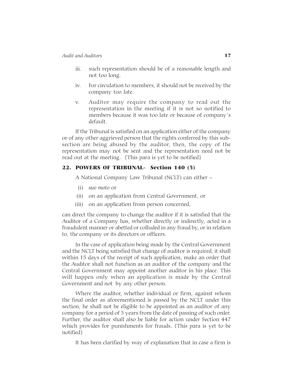- iii. such representation should be of a reasonable length and not too long.
- iv. For circulation to members, it should not be received by the company too late.
- v. Auditor may require the company to read out the representation in the meeting if it is not so notified to members because it was too late or because of company's default.

If the Tribunal is satisfied on an application either of the company or of any other aggrieved person that the rights conferred by this subsection are being abused by the auditor, then, the copy of the representation may not be sent and the representation need not be read out at the meeting. {This para is yet to be notified}

### 22. POWERS OF TRIBUNAL- Section 140 (5)

A National Company Law Tribunal (NCLT) can either –

- (i) *suo moto* or
- (ii) on an application from Central Government, or
- (iii) on an application from person concerned,

can direct the company to change the auditor if it is satisfied that the Auditor of a Company has, whether directly or indirectly, acted in a fraudulent manner or abetted or colluded in any fraud by, or in relation to, the company or its directors or officers.

In the case of application being made by the Central Government and the NCLT being satisfied that change of auditor is required, it shall within 15 days of the receipt of such application, make an order that the Auditor shall not function as an auditor of the company and the Central Government may appoint another auditor in his place. This will happen only when an application is made by the Central Government and not by any other person.

Where the auditor, whether individual or firm, against whom the final order as aforementioned is passed by the NCLT under this section, he shall not be eligible to be appointed as an auditor of any company for a period of 5 years from the date of passing of such order. Further, the auditor shall also be liable for action under Section 447 which provides for punishments for frauds. {This para is yet to be notified}

It has been clarified by way of explanation that in case a firm is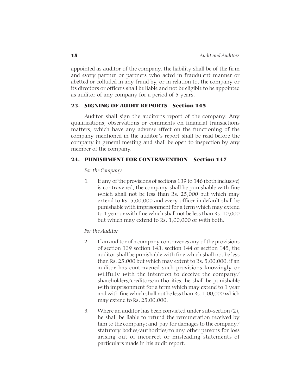appointed as auditor of the company, the liability shall be of the firm and every partner or partners who acted in fraudulent manner or abetted or colluded in any fraud by, or in relation to, the company or its directors or officers shall be liable and not be eligible to be appointed as auditor of any company for a period of 5 years.

### 23. SIGNING OF AUDIT REPORTS - Section 145

Auditor shall sign the auditor's report of the company. Any qualifications, observations or comments on financial transactions matters, which have any adverse effect on the functioning of the company mentioned in the auditor's report shall be read before the company in general meeting and shall be open to inspection by any member of the company.

### 24. PUNISHMENT FOR CONTRAVENTION – Section 147

#### *For the Company*

1. If any of the provisions of sections 139 to 146 (both inclusive) is contravened, the company shall be punishable with fine which shall not be less than Rs. 25,000 but which may extend to Rs. 5,00,000 and every officer in default shall be punishable with imprisonment for a term which may extend to 1 year or with fine which shall not be less than Rs. 10,000 but which may extend to Rs. 1,00,000 or with both.

#### *For the Auditor*

- 2. If an auditor of a company contravenes any of the provisions of section 139 section 143, section 144 or section 145, the auditor shall be punishable with fine which shall not be less than Rs. 25,000 but which may extent to Rs. 5,00,000. if an auditor has contravened such provisions knowingly or willfully with the intention to deceive the company/ shareholders/creditors/authorities, he shall be punishable with imprisonment for a term which may extend to 1 year and with fine which shall not be less than Rs. 1,00,000 which may extend to Rs. 25,00,000.
- 3. Where an auditor has been convicted under sub-section (2), he shall be liable to refund the remuneration received by him to the company; and pay for damages to the company/ statutory bodies/authorities/to any other persons for loss arising out of incorrect or misleading statements of particulars made in his audit report.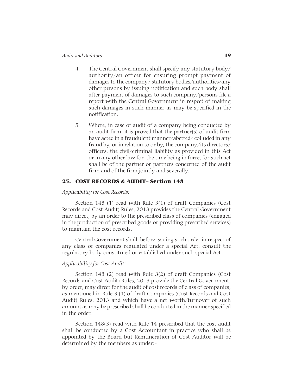- 4. The Central Government shall specify any statutory body/ authority/an officer for ensuring prompt payment of damages to the company/ statutory bodies/authorities/any other persons by issuing notification and such body shall after payment of damages to such company/persons file a report with the Central Government in respect of making such damages in such manner as may be specified in the notification.
- 5. Where, in case of audit of a company being conducted by an audit firm, it is proved that the partner(s) of audit firm have acted in a fraudulent manner/abetted/ colluded in any fraud by, or in relation to or by, the company/its directors/ officers, the civil/criminal liability as provided in this Act or in any other law for the time being in force, for such act shall be of the partner or partners concerned of the audit firm and of the firm jointly and severally.

### 25. COST RECORDS & AUDIT– Section 148

#### *Applicability for Cost Records:*

Section 148 (1) read with Rule 3(1) of draft Companies (Cost Records and Cost Audit) Rules, 2013 provides the Central Government may direct, by an order to the prescribed class of companies (engaged in the production of prescribed goods or providing prescribed services) to maintain the cost records.

Central Government shall, before issuing such order in respect of any class of companies regulated under a special Act, consult the regulatory body constituted or established under such special Act.

#### *Applicability for Cost Audit:*

Section 148 (2) read with Rule 3(2) of draft Companies (Cost Records and Cost Audit) Rules, 2013 provide the Central Government, by order, may direct for the audit of cost records of class of companies, as mentioned in Rule 3 (1) of draft Companies (Cost Records and Cost Audit) Rules, 2013 and which have a net worth/turnover of such amount as may be prescribed shall be conducted in the manner specified in the order.

Section 148(3) read with Rule 14 prescribed that the cost audit shall be conducted by a Cost Accountant in practice who shall be appointed by the Board but Remuneration of Cost Auditor will be determined by the members as under:-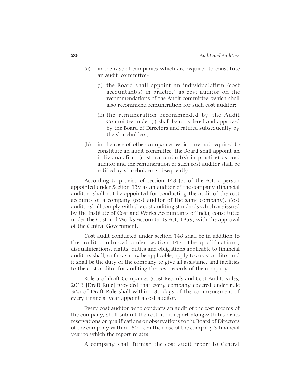- (a) in the case of companies which are required to constitute an audit committee-
	- (i) the Board shall appoint an individual/firm (cost accountant(s) in practice) as cost auditor on the recommendations of the Audit committee, which shall also recommend remuneration for such cost auditor;
	- (ii) the remuneration recommended by the Audit Committee under (i) shall be considered and approved by the Board of Directors and ratified subsequently by the shareholders;
- (b) in the case of other companies which are not required to constitute an audit committee, the Board shall appoint an individual/firm (cost accountant(s) in practice) as cost auditor and the remuneration of such cost auditor shall be ratified by shareholders subsequently.

According to proviso of section 148 (3) of the Act, a person appointed under Section 139 as an auditor of the company (financial auditor) shall not be appointed for conducting the audit of the cost accounts of a company (cost auditor of the same company). Cost auditor shall comply with the cost auditing standards which are issued by the Institute of Cost and Works Accountants of India, constituted under the Cost and Works Accountants Act, 1959, with the approval of the Central Government.

Cost audit conducted under section 148 shall be in addition to the audit conducted under section 143. The qualifications, disqualifications, rights, duties and obligations applicable to financial auditors shall, so far as may be applicable, apply to a cost auditor and it shall be the duty of the company to give all assistance and facilities to the cost auditor for auditing the cost records of the company.

Rule 5 of draft Companies (Cost Records and Cost Audit) Rules, 2013 [Draft Rule] provided that every company covered under rule 3(2) of Draft Rule shall within 180 days of the commencement of every financial year appoint a cost auditor.

Every cost auditor, who conducts an audit of the cost records of the company, shall submit the cost audit report alongwith his or its reservations or qualifications or observations to the Board of Directors of the company within 180 from the close of the company's financial year to which the report relates.

A company shall furnish the cost audit report to Central